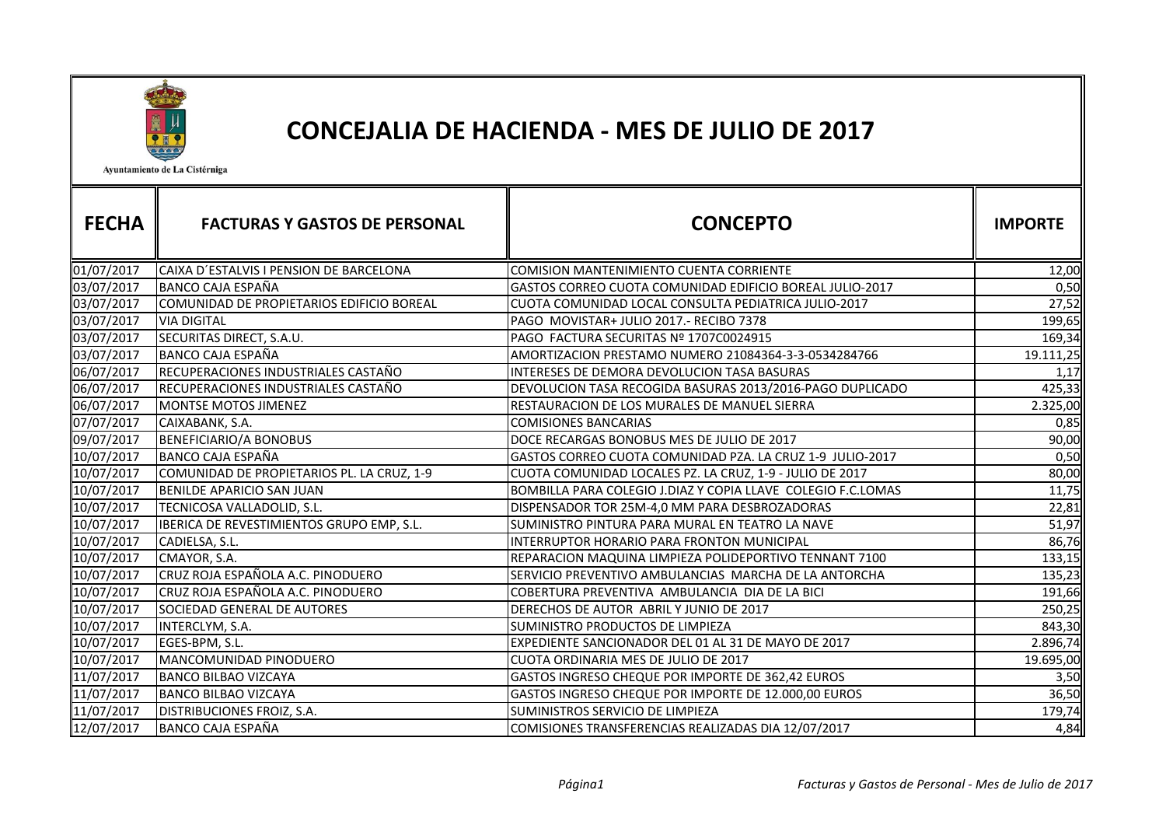

## CONCEJALIA DE HACIENDA - MES DE JULIO DE 2017

Ayuntamiento de La Cistérniga

| <b>FECHA</b> | <b>FACTURAS Y GASTOS DE PERSONAL</b>       | <b>CONCEPTO</b>                                              | <b>IMPORTE</b> |
|--------------|--------------------------------------------|--------------------------------------------------------------|----------------|
|              |                                            |                                                              |                |
| 01/07/2017   | CAIXA D'ESTALVIS I PENSION DE BARCELONA    | <b>COMISION MANTENIMIENTO CUENTA CORRIENTE</b>               | 12,00          |
| 03/07/2017   | <b>BANCO CAJA ESPAÑA</b>                   | GASTOS CORREO CUOTA COMUNIDAD EDIFICIO BOREAL JULIO-2017     | 0,50           |
| 03/07/2017   | COMUNIDAD DE PROPIETARIOS EDIFICIO BOREAL  | CUOTA COMUNIDAD LOCAL CONSULTA PEDIATRICA JULIO-2017         | 27,52          |
| 03/07/2017   | <b>VIA DIGITAL</b>                         | PAGO MOVISTAR+ JULIO 2017.- RECIBO 7378                      | 199,65         |
| 03/07/2017   | SECURITAS DIRECT, S.A.U.                   | PAGO FACTURA SECURITAS Nº 1707C0024915                       | 169,34         |
| 03/07/2017   | <b>BANCO CAJA ESPAÑA</b>                   | AMORTIZACION PRESTAMO NUMERO 21084364-3-3-0534284766         | 19.111,25      |
| 06/07/2017   | RECUPERACIONES INDUSTRIALES CASTAÑO        | <b>INTERESES DE DEMORA DEVOLUCION TASA BASURAS</b>           | 1,17           |
| 06/07/2017   | RECUPERACIONES INDUSTRIALES CASTAÑO        | DEVOLUCION TASA RECOGIDA BASURAS 2013/2016-PAGO DUPLICADO    | 425,33         |
| 06/07/2017   | <b>MONTSE MOTOS JIMENEZ</b>                | RESTAURACION DE LOS MURALES DE MANUEL SIERRA                 | 2.325,00       |
| 07/07/2017   | CAIXABANK, S.A.                            | <b>COMISIONES BANCARIAS</b>                                  | 0,85           |
| 09/07/2017   | <b>BENEFICIARIO/A BONOBUS</b>              | DOCE RECARGAS BONOBUS MES DE JULIO DE 2017                   | 90,00          |
| 10/07/2017   | <b>BANCO CAJA ESPAÑA</b>                   | GASTOS CORREO CUOTA COMUNIDAD PZA. LA CRUZ 1-9 JULIO-2017    | 0,50           |
| 10/07/2017   | COMUNIDAD DE PROPIETARIOS PL. LA CRUZ, 1-9 | CUOTA COMUNIDAD LOCALES PZ. LA CRUZ, 1-9 - JULIO DE 2017     | 80,00          |
| 10/07/2017   | <b>BENILDE APARICIO SAN JUAN</b>           | BOMBILLA PARA COLEGIO J.DIAZ Y COPIA LLAVE COLEGIO F.C.LOMAS | 11,75          |
| 10/07/2017   | TECNICOSA VALLADOLID, S.L.                 | DISPENSADOR TOR 25M-4,0 MM PARA DESBROZADORAS                | 22,81          |
| 10/07/2017   | IBERICA DE REVESTIMIENTOS GRUPO EMP, S.L.  | SUMINISTRO PINTURA PARA MURAL EN TEATRO LA NAVE              | 51,97          |
| 10/07/2017   | CADIELSA, S.L.                             | INTERRUPTOR HORARIO PARA FRONTON MUNICIPAL                   | 86,76          |
| 10/07/2017   | CMAYOR, S.A.                               | REPARACION MAQUINA LIMPIEZA POLIDEPORTIVO TENNANT 7100       | 133,15         |
| 10/07/2017   | CRUZ ROJA ESPAÑOLA A.C. PINODUERO          | ISERVICIO PREVENTIVO AMBULANCIAS MARCHA DE LA ANTORCHA       | 135,23         |
| 10/07/2017   | CRUZ ROJA ESPAÑOLA A.C. PINODUERO          | COBERTURA PREVENTIVA AMBULANCIA DIA DE LA BICI               | 191,66         |
| 10/07/2017   | SOCIEDAD GENERAL DE AUTORES                | DERECHOS DE AUTOR ABRIL Y JUNIO DE 2017                      | 250,25         |
| 10/07/2017   | INTERCLYM, S.A.                            | SUMINISTRO PRODUCTOS DE LIMPIEZA                             | 843,30         |
| 10/07/2017   | EGES-BPM, S.L.                             | EXPEDIENTE SANCIONADOR DEL 01 AL 31 DE MAYO DE 2017          | 2.896,74       |
| 10/07/2017   | MANCOMUNIDAD PINODUERO                     | CUOTA ORDINARIA MES DE JULIO DE 2017                         | 19.695,00      |
| 11/07/2017   | <b>BANCO BILBAO VIZCAYA</b>                | GASTOS INGRESO CHEQUE POR IMPORTE DE 362,42 EUROS            | 3,50           |
| 11/07/2017   | <b>BANCO BILBAO VIZCAYA</b>                | GASTOS INGRESO CHEQUE POR IMPORTE DE 12.000,00 EUROS         | 36,50          |
| 11/07/2017   | <b>DISTRIBUCIONES FROIZ, S.A.</b>          | SUMINISTROS SERVICIO DE LIMPIEZA                             | 179,74         |
| 12/07/2017   | <b>BANCO CAJA ESPAÑA</b>                   | COMISIONES TRANSFERENCIAS REALIZADAS DIA 12/07/2017          | 4,84           |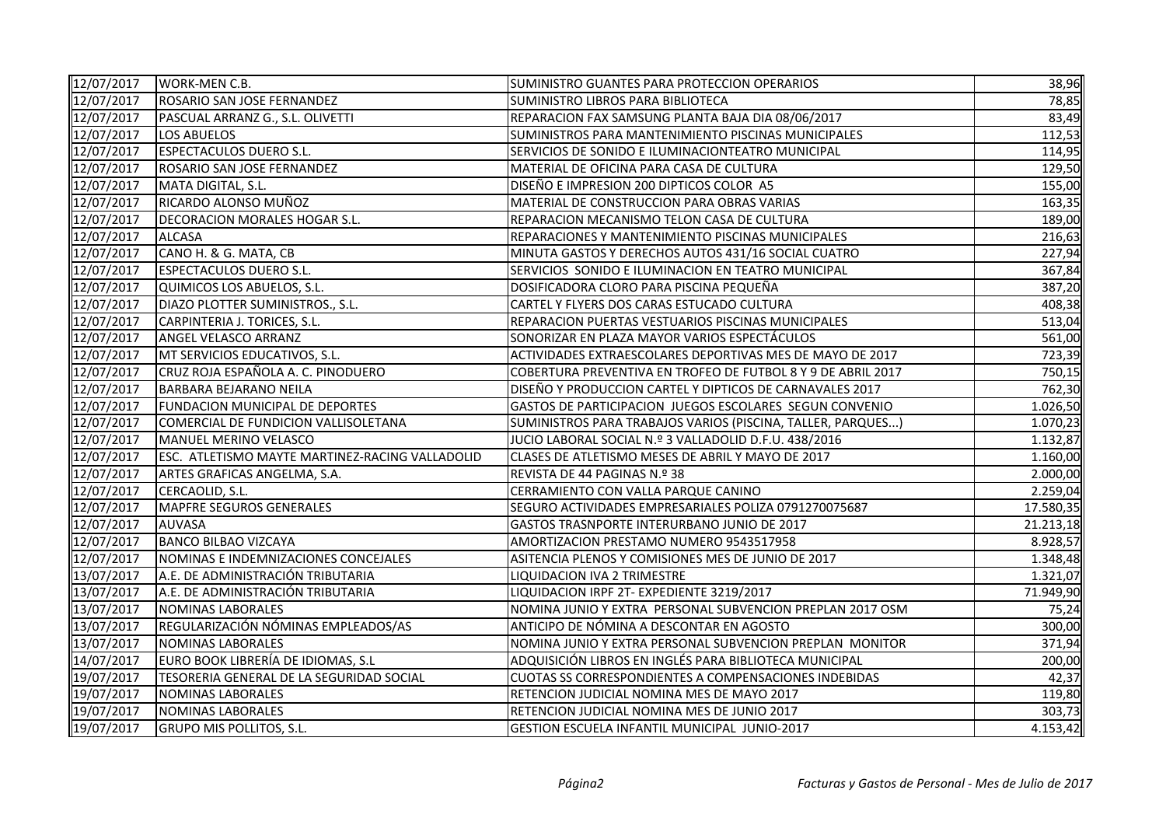| 12/07/2017          | <b>WORK-MEN C.B.</b>                            | SUMINISTRO GUANTES PARA PROTECCION OPERARIOS                 | 38,96     |
|---------------------|-------------------------------------------------|--------------------------------------------------------------|-----------|
| 12/07/2017          | ROSARIO SAN JOSE FERNANDEZ                      | SUMINISTRO LIBROS PARA BIBLIOTECA                            | 78,85     |
| 12/07/2017          | PASCUAL ARRANZ G., S.L. OLIVETTI                | REPARACION FAX SAMSUNG PLANTA BAJA DIA 08/06/2017            | 83,49     |
| 12/07/2017          | <b>LOS ABUELOS</b>                              | SUMINISTROS PARA MANTENIMIENTO PISCINAS MUNICIPALES          | 112,53    |
| 12/07/2017          | <b>ESPECTACULOS DUERO S.L.</b>                  | SERVICIOS DE SONIDO E ILUMINACIONTEATRO MUNICIPAL            | 114,95    |
| 12/07/2017          | ROSARIO SAN JOSE FERNANDEZ                      | MATERIAL DE OFICINA PARA CASA DE CULTURA                     | 129,50    |
| 12/07/2017          | MATA DIGITAL, S.L.                              | DISEÑO E IMPRESION 200 DIPTICOS COLOR A5                     | 155,00    |
| 12/07/2017          | RICARDO ALONSO MUÑOZ                            | MATERIAL DE CONSTRUCCION PARA OBRAS VARIAS                   | 163,35    |
| 12/07/2017          | DECORACION MORALES HOGAR S.L.                   | REPARACION MECANISMO TELON CASA DE CULTURA                   | 189,00    |
| 12/07/2017          | <b>ALCASA</b>                                   | REPARACIONES Y MANTENIMIENTO PISCINAS MUNICIPALES            | 216,63    |
| 12/07/2017          | CANO H. & G. MATA, CB                           | MINUTA GASTOS Y DERECHOS AUTOS 431/16 SOCIAL CUATRO          | 227,94    |
| 12/07/2017          | <b>ESPECTACULOS DUERO S.L.</b>                  | SERVICIOS SONIDO E ILUMINACION EN TEATRO MUNICIPAL           | 367,84    |
| 12/07/2017          | QUIMICOS LOS ABUELOS, S.L.                      | DOSIFICADORA CLORO PARA PISCINA PEQUEÑA                      | 387,20    |
| 12/07/2017          | DIAZO PLOTTER SUMINISTROS., S.L.                | CARTEL Y FLYERS DOS CARAS ESTUCADO CULTURA                   | 408,38    |
| 12/07/2017          | CARPINTERIA J. TORICES, S.L.                    | REPARACION PUERTAS VESTUARIOS PISCINAS MUNICIPALES           | 513,04    |
| 12/07/2017          | ANGEL VELASCO ARRANZ                            | SONORIZAR EN PLAZA MAYOR VARIOS ESPECTÁCULOS                 | 561,00    |
| 12/07/2017          | MT SERVICIOS EDUCATIVOS, S.L.                   | ACTIVIDADES EXTRAESCOLARES DEPORTIVAS MES DE MAYO DE 2017    | 723,39    |
| $\sqrt{12/07/2017}$ | CRUZ ROJA ESPAÑOLA A. C. PINODUERO              | COBERTURA PREVENTIVA EN TROFEO DE FUTBOL 8 Y 9 DE ABRIL 2017 | 750,15    |
| 12/07/2017          | <b>BARBARA BEJARANO NEILA</b>                   | DISEÑO Y PRODUCCION CARTEL Y DIPTICOS DE CARNAVALES 2017     | 762,30    |
| 12/07/2017          | FUNDACION MUNICIPAL DE DEPORTES                 | GASTOS DE PARTICIPACION JUEGOS ESCOLARES SEGUN CONVENIO      | 1.026,50  |
| 12/07/2017          | COMERCIAL DE FUNDICION VALLISOLETANA            | SUMINISTROS PARA TRABAJOS VARIOS (PISCINA, TALLER, PARQUES)  | 1.070,23  |
| 12/07/2017          | MANUEL MERINO VELASCO                           | JUCIO LABORAL SOCIAL N.º 3 VALLADOLID D.F.U. 438/2016        | 1.132,87  |
| 12/07/2017          | ESC. ATLETISMO MAYTE MARTINEZ-RACING VALLADOLID | CLASES DE ATLETISMO MESES DE ABRIL Y MAYO DE 2017            | 1.160,00  |
| 12/07/2017          | ARTES GRAFICAS ANGELMA, S.A.                    | REVISTA DE 44 PAGINAS N.º 38                                 | 2.000,00  |
| 12/07/2017          | CERCAOLID, S.L.                                 | CERRAMIENTO CON VALLA PARQUE CANINO                          | 2.259,04  |
| 12/07/2017          | MAPFRE SEGUROS GENERALES                        | SEGURO ACTIVIDADES EMPRESARIALES POLIZA 0791270075687        | 17.580,35 |
| 12/07/2017          | <b>AUVASA</b>                                   | GASTOS TRASNPORTE INTERURBANO JUNIO DE 2017                  | 21.213,18 |
| 12/07/2017          | <b>BANCO BILBAO VIZCAYA</b>                     | AMORTIZACION PRESTAMO NUMERO 9543517958                      | 8.928,57  |
| 12/07/2017          | NOMINAS E INDEMNIZACIONES CONCEJALES            | ASITENCIA PLENOS Y COMISIONES MES DE JUNIO DE 2017           | 1.348,48  |
| 13/07/2017          | A.E. DE ADMINISTRACIÓN TRIBUTARIA               | LIQUIDACION IVA 2 TRIMESTRE                                  | 1.321,07  |
| 13/07/2017          | A.E. DE ADMINISTRACIÓN TRIBUTARIA               | LIQUIDACION IRPF 2T- EXPEDIENTE 3219/2017                    | 71.949,90 |
| 13/07/2017          | NOMINAS LABORALES                               | NOMINA JUNIO Y EXTRA PERSONAL SUBVENCION PREPLAN 2017 OSM    | 75,24     |
| 13/07/2017          | REGULARIZACIÓN NÓMINAS EMPLEADOS/AS             | ANTICIPO DE NÓMINA A DESCONTAR EN AGOSTO                     | 300,00    |
| 13/07/2017          | NOMINAS LABORALES                               | NOMINA JUNIO Y EXTRA PERSONAL SUBVENCION PREPLAN MONITOR     | 371,94    |
| 14/07/2017          | EURO BOOK LIBRERÍA DE IDIOMAS, S.L              | ADQUISICIÓN LIBROS EN INGLÉS PARA BIBLIOTECA MUNICIPAL       | 200,00    |
| 19/07/2017          | TESORERIA GENERAL DE LA SEGURIDAD SOCIAL        | CUOTAS SS CORRESPONDIENTES A COMPENSACIONES INDEBIDAS        | 42,37     |
| 19/07/2017          | NOMINAS LABORALES                               | RETENCION JUDICIAL NOMINA MES DE MAYO 2017                   | 119,80    |
| 19/07/2017          | NOMINAS LABORALES                               | RETENCION JUDICIAL NOMINA MES DE JUNIO 2017                  | 303,73    |
| 19/07/2017          | <b>GRUPO MIS POLLITOS, S.L.</b>                 | GESTION ESCUELA INFANTIL MUNICIPAL JUNIO-2017                | 4.153,42  |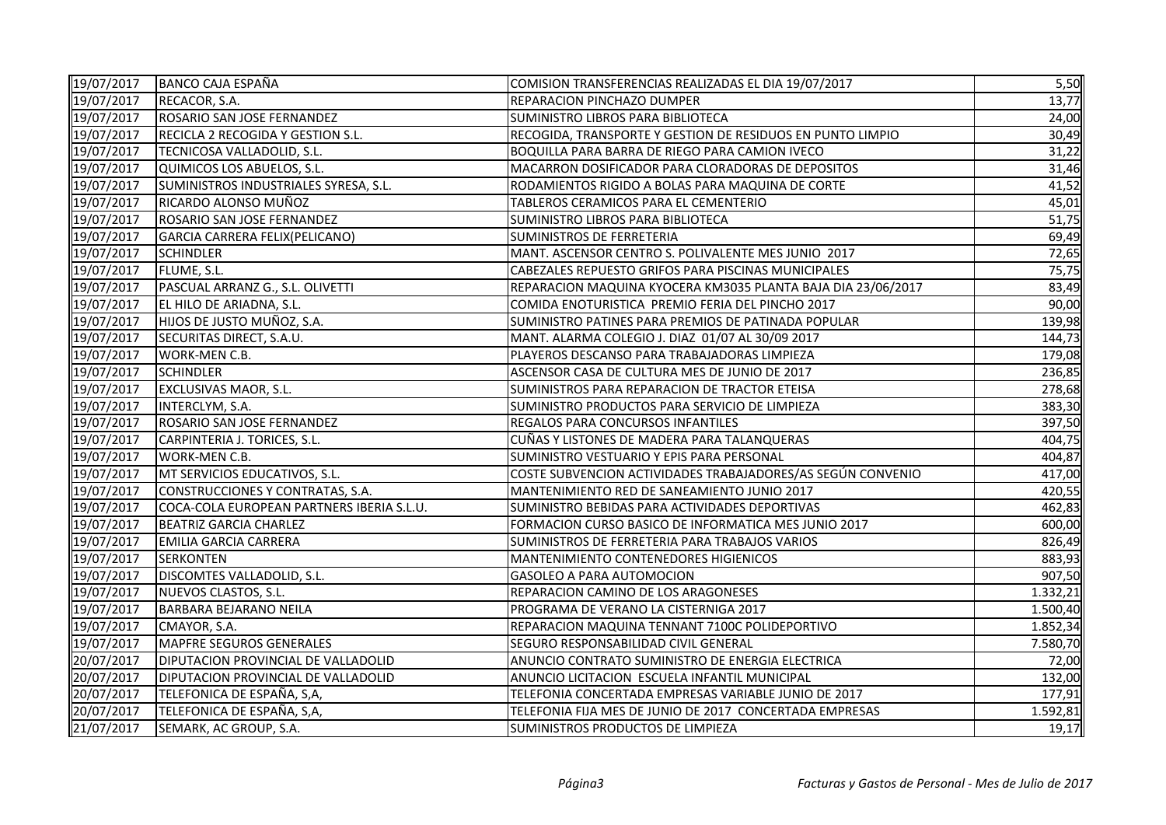| 19/07/2017 | BANCO CAJA ESPAÑA                         | COMISION TRANSFERENCIAS REALIZADAS EL DIA 19/07/2017         | 5,50     |
|------------|-------------------------------------------|--------------------------------------------------------------|----------|
| 19/07/2017 | RECACOR, S.A.                             | REPARACION PINCHAZO DUMPER                                   | 13,77    |
| 19/07/2017 | ROSARIO SAN JOSE FERNANDEZ                | SUMINISTRO LIBROS PARA BIBLIOTECA                            | 24,00    |
| 19/07/2017 | <b>RECICLA 2 RECOGIDA Y GESTION S.L.</b>  | RECOGIDA, TRANSPORTE Y GESTION DE RESIDUOS EN PUNTO LIMPIO   | 30,49    |
| 19/07/2017 | TECNICOSA VALLADOLID, S.L.                | BOQUILLA PARA BARRA DE RIEGO PARA CAMION IVECO               | 31,22    |
| 19/07/2017 | QUIMICOS LOS ABUELOS, S.L.                | MACARRON DOSIFICADOR PARA CLORADORAS DE DEPOSITOS            | 31,46    |
| 19/07/2017 | SUMINISTROS INDUSTRIALES SYRESA, S.L.     | RODAMIENTOS RIGIDO A BOLAS PARA MAQUINA DE CORTE             | 41,52    |
| 19/07/2017 | RICARDO ALONSO MUÑOZ                      | TABLEROS CERAMICOS PARA EL CEMENTERIO                        | 45,01    |
| 19/07/2017 | ROSARIO SAN JOSE FERNANDEZ                | SUMINISTRO LIBROS PARA BIBLIOTECA                            | 51,75    |
| 19/07/2017 | GARCIA CARRERA FELIX(PELICANO)            | SUMINISTROS DE FERRETERIA                                    | 69,49    |
| 19/07/2017 | <b>SCHINDLER</b>                          | MANT. ASCENSOR CENTRO S. POLIVALENTE MES JUNIO 2017          | 72,65    |
| 19/07/2017 | FLUME, S.L.                               | CABEZALES REPUESTO GRIFOS PARA PISCINAS MUNICIPALES          | 75,75    |
| 19/07/2017 | PASCUAL ARRANZ G., S.L. OLIVETTI          | REPARACION MAQUINA KYOCERA KM3035 PLANTA BAJA DIA 23/06/2017 | 83,49    |
| 19/07/2017 | EL HILO DE ARIADNA, S.L.                  | COMIDA ENOTURISTICA PREMIO FERIA DEL PINCHO 2017             | 90,00    |
| 19/07/2017 | HIJOS DE JUSTO MUÑOZ, S.A.                | SUMINISTRO PATINES PARA PREMIOS DE PATINADA POPULAR          | 139,98   |
| 19/07/2017 | SECURITAS DIRECT, S.A.U.                  | MANT. ALARMA COLEGIO J. DIAZ 01/07 AL 30/09 2017             | 144,73   |
| 19/07/2017 | <b>WORK-MEN C.B.</b>                      | PLAYEROS DESCANSO PARA TRABAJADORAS LIMPIEZA                 | 179,08   |
| 19/07/2017 | <b>SCHINDLER</b>                          | ASCENSOR CASA DE CULTURA MES DE JUNIO DE 2017                | 236,85   |
| 19/07/2017 | <b>EXCLUSIVAS MAOR, S.L.</b>              | SUMINISTROS PARA REPARACION DE TRACTOR ETEISA                | 278,68   |
| 19/07/2017 | INTERCLYM, S.A.                           | SUMINISTRO PRODUCTOS PARA SERVICIO DE LIMPIEZA               | 383,30   |
| 19/07/2017 | ROSARIO SAN JOSE FERNANDEZ                | REGALOS PARA CONCURSOS INFANTILES                            | 397,50   |
| 19/07/2017 | CARPINTERIA J. TORICES, S.L.              | CUÑAS Y LISTONES DE MADERA PARA TALANQUERAS                  | 404,75   |
| 19/07/2017 | WORK-MEN C.B.                             | SUMINISTRO VESTUARIO Y EPIS PARA PERSONAL                    | 404,87   |
| 19/07/2017 | MT SERVICIOS EDUCATIVOS, S.L.             | COSTE SUBVENCION ACTIVIDADES TRABAJADORES/AS SEGÚN CONVENIO  | 417,00   |
| 19/07/2017 | CONSTRUCCIONES Y CONTRATAS, S.A.          | MANTENIMIENTO RED DE SANEAMIENTO JUNIO 2017                  | 420,55   |
| 19/07/2017 | COCA-COLA EUROPEAN PARTNERS IBERIA S.L.U. | SUMINISTRO BEBIDAS PARA ACTIVIDADES DEPORTIVAS               | 462,83   |
| 19/07/2017 | <b>BEATRIZ GARCIA CHARLEZ</b>             | FORMACION CURSO BASICO DE INFORMATICA MES JUNIO 2017         | 600,00   |
| 19/07/2017 | <b>EMILIA GARCIA CARRERA</b>              | SUMINISTROS DE FERRETERIA PARA TRABAJOS VARIOS               | 826,49   |
| 19/07/2017 | <b>SERKONTEN</b>                          | <b>MANTENIMIENTO CONTENEDORES HIGIENICOS</b>                 | 883,93   |
| 19/07/2017 | DISCOMTES VALLADOLID, S.L.                | GASOLEO A PARA AUTOMOCION                                    | 907,50   |
| 19/07/2017 | NUEVOS CLASTOS, S.L.                      | REPARACION CAMINO DE LOS ARAGONESES                          | 1.332,21 |
| 19/07/2017 | <b>BARBARA BEJARANO NEILA</b>             | PROGRAMA DE VERANO LA CISTERNIGA 2017                        | 1.500,40 |
| 19/07/2017 | CMAYOR, S.A.                              | REPARACION MAQUINA TENNANT 7100C POLIDEPORTIVO               | 1.852,34 |
| 19/07/2017 | MAPFRE SEGUROS GENERALES                  | SEGURO RESPONSABILIDAD CIVIL GENERAL                         | 7.580,70 |
| 20/07/2017 | DIPUTACION PROVINCIAL DE VALLADOLID       | ANUNCIO CONTRATO SUMINISTRO DE ENERGIA ELECTRICA             | 72,00    |
| 20/07/2017 | DIPUTACION PROVINCIAL DE VALLADOLID       | ANUNCIO LICITACION ESCUELA INFANTIL MUNICIPAL                | 132,00   |
| 20/07/2017 | TELEFONICA DE ESPAÑA, S,A,                | TELEFONIA CONCERTADA EMPRESAS VARIABLE JUNIO DE 2017         | 177,91   |
| 20/07/2017 | TELEFONICA DE ESPAÑA, S,A,                | TELEFONIA FIJA MES DE JUNIO DE 2017 CONCERTADA EMPRESAS      | 1.592,81 |
| 21/07/2017 | SEMARK, AC GROUP, S.A.                    | SUMINISTROS PRODUCTOS DE LIMPIEZA                            | 19,17    |